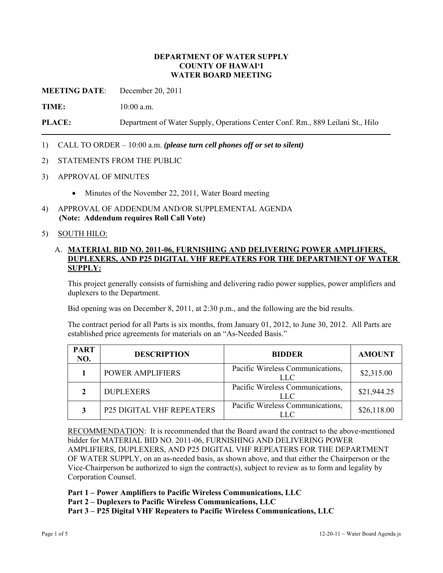## **DEPARTMENT OF WATER SUPPLY COUNTY OF HAWAI'I WATER BOARD MEETING**

**MEETING DATE**: December 20, 2011

**TIME:** 10:00 a.m.

**PLACE:** Department of Water Supply, Operations Center Conf. Rm., 889 Leilani St., Hilo

- 1) CALL TO ORDER 10:00 a.m. *(please turn cell phones off or set to silent)*
- 2) STATEMENTS FROM THE PUBLIC
- 3) APPROVAL OF MINUTES
	- Minutes of the November 22, 2011, Water Board meeting
- 4) APPROVAL OF ADDENDUM AND/OR SUPPLEMENTAL AGENDA **(Note: Addendum requires Roll Call Vote)**

### 5) SOUTH HILO:

## A. **MATERIAL BID NO. 2011-06, FURNISHING AND DELIVERING POWER AMPLIFIERS, DUPLEXERS, AND P25 DIGITAL VHF REPEATERS FOR THE DEPARTMENT OF WATER SUPPLY:**

This project generally consists of furnishing and delivering radio power supplies, power amplifiers and duplexers to the Department.

Bid opening was on December 8, 2011, at 2:30 p.m., and the following are the bid results.

The contract period for all Parts is six months, from January 01, 2012, to June 30, 2012. All Parts are established price agreements for materials on an "As-Needed Basis."

| <b>PART</b><br>NO. | <b>DESCRIPTION</b>               | <b>BIDDER</b>                                  | <b>AMOUNT</b> |
|--------------------|----------------------------------|------------------------------------------------|---------------|
|                    | <b>POWER AMPLIFIERS</b>          | Pacific Wireless Communications,<br>LLC        | \$2,315.00    |
| $\mathfrak{D}$     | <b>DUPLEXERS</b>                 | Pacific Wireless Communications,<br><b>LLC</b> | \$21,944.25   |
| 3                  | <b>P25 DIGITAL VHF REPEATERS</b> | Pacific Wireless Communications,<br>LLC.       | \$26,118.00   |

RECOMMENDATION: It is recommended that the Board award the contract to the above-mentioned bidder for MATERIAL BID NO. 2011-06, FURNISHING AND DELIVERING POWER AMPLIFIERS, DUPLEXERS, AND P25 DIGITAL VHF REPEATERS FOR THE DEPARTMENT OF WATER SUPPLY, on an as-needed basis, as shown above, and that either the Chairperson or the Vice-Chairperson be authorized to sign the contract(s), subject to review as to form and legality by Corporation Counsel.

**Part 1 – Power Amplifiers to Pacific Wireless Communications, LLC** 

**Part 2 – Duplexers to Pacific Wireless Communications, LLC** 

**Part 3 – P25 Digital VHF Repeaters to Pacific Wireless Communications, LLC**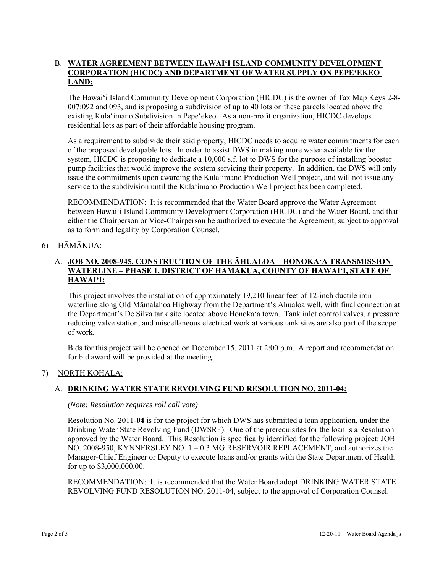## B. **WATER AGREEMENT BETWEEN HAWAI'I ISLAND COMMUNITY DEVELOPMENT CORPORATION (HICDC) AND DEPARTMENT OF WATER SUPPLY ON PEPE'EKEO LAND:**

The Hawai'i Island Community Development Corporation (HICDC) is the owner of Tax Map Keys 2-8- 007:092 and 093, and is proposing a subdivision of up to 40 lots on these parcels located above the existing Kula'imano Subdivision in Pepe'ekeo. As a non-profit organization, HICDC develops residential lots as part of their affordable housing program.

As a requirement to subdivide their said property, HICDC needs to acquire water commitments for each of the proposed developable lots. In order to assist DWS in making more water available for the system, HICDC is proposing to dedicate a 10,000 s.f. lot to DWS for the purpose of installing booster pump facilities that would improve the system servicing their property. In addition, the DWS will only issue the commitments upon awarding the Kula'imano Production Well project, and will not issue any service to the subdivision until the Kula'imano Production Well project has been completed.

RECOMMENDATION: It is recommended that the Water Board approve the Water Agreement between Hawai'i Island Community Development Corporation (HICDC) and the Water Board, and that either the Chairperson or Vice-Chairperson be authorized to execute the Agreement, subject to approval as to form and legality by Corporation Counsel.

# 6) HĀMĀKUA:

## A. **JOB NO. 2008-945, CONSTRUCTION OF THE ĀHUALOA – HONOKA'A TRANSMISSION WATERLINE – PHASE 1, DISTRICT OF HĀMĀKUA, COUNTY OF HAWAI'I, STATE OF HAWAI'I:**

This project involves the installation of approximately 19,210 linear feet of 12-inch ductile iron waterline along Old Māmalahoa Highway from the Department's Āhualoa well, with final connection at the Department's De Silva tank site located above Honoka'a town. Tank inlet control valves, a pressure reducing valve station, and miscellaneous electrical work at various tank sites are also part of the scope of work.

Bids for this project will be opened on December 15, 2011 at 2:00 p.m. A report and recommendation for bid award will be provided at the meeting.

## 7) NORTH KOHALA:

# A. **DRINKING WATER STATE REVOLVING FUND RESOLUTION NO. 2011-04:**

#### *(Note: Resolution requires roll call vote)*

Resolution No. 2011-**04** is for the project for which DWS has submitted a loan application, under the Drinking Water State Revolving Fund (DWSRF). One of the prerequisites for the loan is a Resolution approved by the Water Board. This Resolution is specifically identified for the following project: JOB NO. 2008-950, KYNNERSLEY NO. 1 – 0.3 MG RESERVOIR REPLACEMENT, and authorizes the Manager-Chief Engineer or Deputy to execute loans and/or grants with the State Department of Health for up to \$3,000,000.00.

RECOMMENDATION: It is recommended that the Water Board adopt DRINKING WATER STATE REVOLVING FUND RESOLUTION NO. 2011-04, subject to the approval of Corporation Counsel.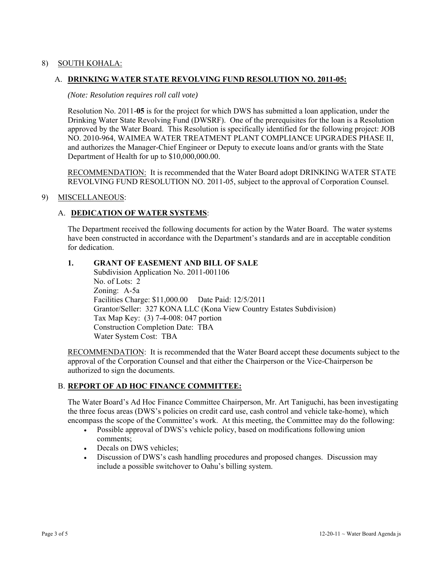# 8) SOUTH KOHALA:

## A. **DRINKING WATER STATE REVOLVING FUND RESOLUTION NO. 2011-05:**

#### *(Note: Resolution requires roll call vote)*

Resolution No. 2011-**05** is for the project for which DWS has submitted a loan application, under the Drinking Water State Revolving Fund (DWSRF). One of the prerequisites for the loan is a Resolution approved by the Water Board. This Resolution is specifically identified for the following project: JOB NO. 2010-964, WAIMEA WATER TREATMENT PLANT COMPLIANCE UPGRADES PHASE II, and authorizes the Manager-Chief Engineer or Deputy to execute loans and/or grants with the State Department of Health for up to \$10,000,000.00.

RECOMMENDATION: It is recommended that the Water Board adopt DRINKING WATER STATE REVOLVING FUND RESOLUTION NO. 2011-05, subject to the approval of Corporation Counsel.

### 9) MISCELLANEOUS:

### A. **DEDICATION OF WATER SYSTEMS**:

The Department received the following documents for action by the Water Board. The water systems have been constructed in accordance with the Department's standards and are in acceptable condition for dedication.

# **1. GRANT OF EASEMENT AND BILL OF SALE**

 Subdivision Application No. 2011-001106 No. of Lots: 2 Zoning: A-5a Facilities Charge: \$11,000.00 Date Paid: 12/5/2011 Grantor/Seller: 327 KONA LLC (Kona View Country Estates Subdivision) Tax Map Key: (3) 7-4-008: 047 portion Construction Completion Date: TBA Water System Cost: TBA

RECOMMENDATION: It is recommended that the Water Board accept these documents subject to the approval of the Corporation Counsel and that either the Chairperson or the Vice-Chairperson be authorized to sign the documents.

#### B. **REPORT OF AD HOC FINANCE COMMITTEE:**

The Water Board's Ad Hoc Finance Committee Chairperson, Mr. Art Taniguchi, has been investigating the three focus areas (DWS's policies on credit card use, cash control and vehicle take-home), which encompass the scope of the Committee's work. At this meeting, the Committee may do the following:

- Possible approval of DWS's vehicle policy, based on modifications following union comments;
- Decals on DWS vehicles;
- Discussion of DWS's cash handling procedures and proposed changes. Discussion may include a possible switchover to Oahu's billing system.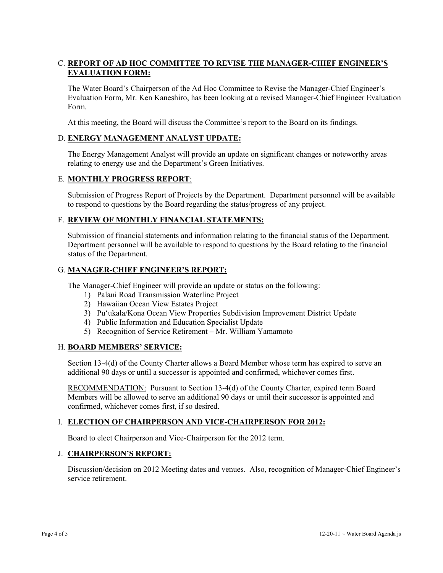# C. **REPORT OF AD HOC COMMITTEE TO REVISE THE MANAGER-CHIEF ENGINEER'S EVALUATION FORM:**

The Water Board's Chairperson of the Ad Hoc Committee to Revise the Manager-Chief Engineer's Evaluation Form, Mr. Ken Kaneshiro, has been looking at a revised Manager-Chief Engineer Evaluation Form.

At this meeting, the Board will discuss the Committee's report to the Board on its findings.

# D. **ENERGY MANAGEMENT ANALYST UPDATE:**

The Energy Management Analyst will provide an update on significant changes or noteworthy areas relating to energy use and the Department's Green Initiatives.

## E. **MONTHLY PROGRESS REPORT**:

Submission of Progress Report of Projects by the Department. Department personnel will be available to respond to questions by the Board regarding the status/progress of any project.

## F. **REVIEW OF MONTHLY FINANCIAL STATEMENTS:**

Submission of financial statements and information relating to the financial status of the Department. Department personnel will be available to respond to questions by the Board relating to the financial status of the Department.

### G. **MANAGER-CHIEF ENGINEER'S REPORT:**

The Manager-Chief Engineer will provide an update or status on the following:

- 1) Palani Road Transmission Waterline Project
- 2) Hawaiian Ocean View Estates Project
- 3) Pu'ukala/Kona Ocean View Properties Subdivision Improvement District Update
- 4) Public Information and Education Specialist Update
- 5) Recognition of Service Retirement Mr. William Yamamoto

## H. **BOARD MEMBERS' SERVICE:**

Section 13-4(d) of the County Charter allows a Board Member whose term has expired to serve an additional 90 days or until a successor is appointed and confirmed, whichever comes first.

RECOMMENDATION: Pursuant to Section 13-4(d) of the County Charter, expired term Board Members will be allowed to serve an additional 90 days or until their successor is appointed and confirmed, whichever comes first, if so desired.

## I. **ELECTION OF CHAIRPERSON AND VICE-CHAIRPERSON FOR 2012:**

Board to elect Chairperson and Vice-Chairperson for the 2012 term.

## J. **CHAIRPERSON'S REPORT:**

Discussion/decision on 2012 Meeting dates and venues. Also, recognition of Manager-Chief Engineer's service retirement.